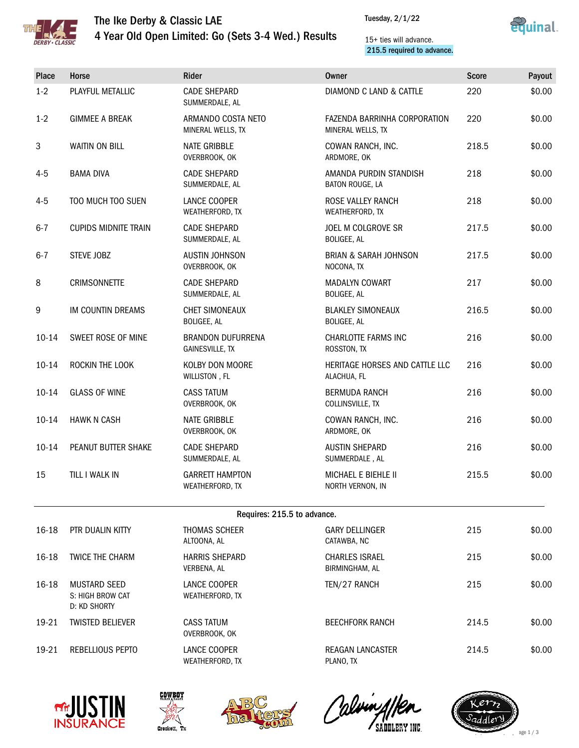

## The Ike Derby & Classic LAE 4 Year Old Open Limited: Go (Sets 3-4 Wed.) Results





#### 15+ ties will advance. 215.5 required to advance.

| Place     | Horse                                                   | Rider                                              | <b>Owner</b>                                      | <b>Score</b> | Payout |
|-----------|---------------------------------------------------------|----------------------------------------------------|---------------------------------------------------|--------------|--------|
| $1-2$     | PLAYFUL METALLIC                                        | <b>CADE SHEPARD</b><br>SUMMERDALE, AL              | <b>DIAMOND C LAND &amp; CATTLE</b>                | 220          | \$0.00 |
| $1 - 2$   | <b>GIMMEE A BREAK</b>                                   | ARMANDO COSTA NETO<br>MINERAL WELLS, TX            | FAZENDA BARRINHA CORPORATION<br>MINERAL WELLS, TX | 220          | \$0.00 |
| 3         | <b>WAITIN ON BILL</b>                                   | <b>NATE GRIBBLE</b><br>OVERBROOK, OK               | COWAN RANCH, INC.<br>ARDMORE, OK                  | 218.5        | \$0.00 |
| $4 - 5$   | <b>BAMA DIVA</b>                                        | <b>CADE SHEPARD</b><br>SUMMERDALE, AL              | AMANDA PURDIN STANDISH<br>BATON ROUGE, LA         | 218          | \$0.00 |
| $4 - 5$   | TOO MUCH TOO SUEN                                       | LANCE COOPER<br>WEATHERFORD, TX                    | <b>ROSE VALLEY RANCH</b><br>WEATHERFORD, TX       | 218          | \$0.00 |
| $6 - 7$   | <b>CUPIDS MIDNITE TRAIN</b>                             | <b>CADE SHEPARD</b><br>SUMMERDALE, AL              | JOEL M COLGROVE SR<br>BOLIGEE, AL                 | 217.5        | \$0.00 |
| $6 - 7$   | STEVE JOBZ                                              | <b>AUSTIN JOHNSON</b><br>OVERBROOK, OK             | <b>BRIAN &amp; SARAH JOHNSON</b><br>NOCONA, TX    | 217.5        | \$0.00 |
| 8         | <b>CRIMSONNETTE</b>                                     | <b>CADE SHEPARD</b><br>SUMMERDALE, AL              | <b>MADALYN COWART</b><br>BOLIGEE, AL              | 217          | \$0.00 |
| 9         | IM COUNTIN DREAMS                                       | <b>CHET SIMONEAUX</b><br><b>BOLIGEE, AL</b>        | <b>BLAKLEY SIMONEAUX</b><br>BOLIGEE, AL           | 216.5        | \$0.00 |
| $10 - 14$ | SWEET ROSE OF MINE                                      | <b>BRANDON DUFURRENA</b><br><b>GAINESVILLE, TX</b> | CHARLOTTE FARMS INC<br>ROSSTON, TX                | 216          | \$0.00 |
| $10 - 14$ | ROCKIN THE LOOK                                         | KOLBY DON MOORE<br>WILLISTON, FL                   | HERITAGE HORSES AND CATTLE LLC<br>ALACHUA, FL     | 216          | \$0.00 |
| $10 - 14$ | <b>GLASS OF WINE</b>                                    | <b>CASS TATUM</b><br>OVERBROOK, OK                 | <b>BERMUDA RANCH</b><br>COLLINSVILLE, TX          | 216          | \$0.00 |
| $10 - 14$ | <b>HAWK N CASH</b>                                      | <b>NATE GRIBBLE</b><br>OVERBROOK, OK               | COWAN RANCH, INC.<br>ARDMORE, OK                  | 216          | \$0.00 |
| $10 - 14$ | PEANUT BUTTER SHAKE                                     | <b>CADE SHEPARD</b><br>SUMMERDALE, AL              | <b>AUSTIN SHEPARD</b><br>SUMMERDALE, AL           | 216          | \$0.00 |
| 15        | TILL I WALK IN                                          | <b>GARRETT HAMPTON</b><br>WEATHERFORD, TX          | <b>MICHAEL E BIEHLE II</b><br>NORTH VERNON, IN    | 215.5        | \$0.00 |
|           |                                                         | Requires: 215.5 to advance.                        |                                                   |              |        |
| 16-18     | PTR DUALIN KITTY                                        | <b>THOMAS SCHEER</b><br>ALTOONA, AL                | <b>GARY DELLINGER</b><br>CATAWBA, NC              | 215          | \$0.00 |
| 16-18     | <b>TWICE THE CHARM</b>                                  | <b>HARRIS SHEPARD</b><br>VERBENA, AL               | <b>CHARLES ISRAEL</b><br>BIRMINGHAM, AL           | 215          | \$0.00 |
| 16-18     | <b>MUSTARD SEED</b><br>S: HIGH BROW CAT<br>D: KD SHORTY | LANCE COOPER<br>WEATHERFORD, TX                    | TEN/27 RANCH                                      | 215          | \$0.00 |
| 19-21     | <b>TWISTED BELIEVER</b>                                 | <b>CASS TATUM</b>                                  | <b>BEECHFORK RANCH</b>                            | 214.5        | \$0.00 |

OVERBROOK, OK 19-21 REBELLIOUS PEPTO LANCE COOPER WEATHERFORD, TX REAGAN LANCASTER PLANO, TX











214.5 \$0.00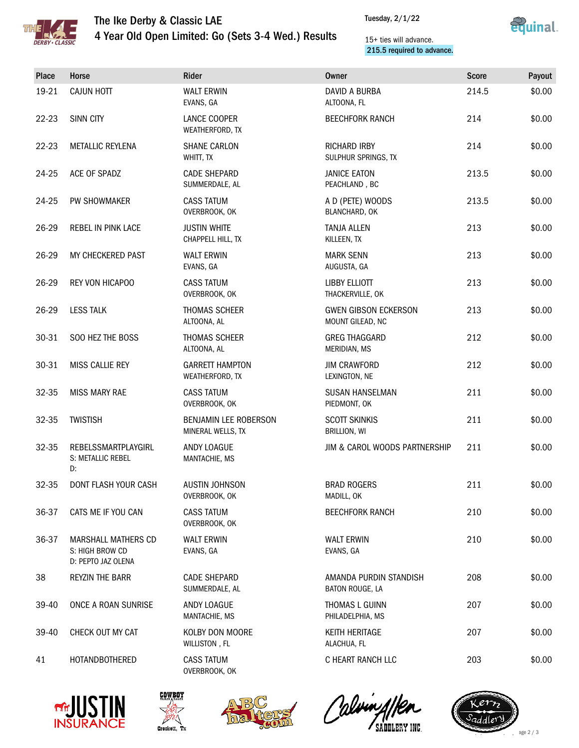

# The Ike Derby & Classic LAE 4 Year Old Open Limited: Go (Sets 3-4 Wed.) Results

Tuesday, 2/1/22



### 15+ ties will advance. 215.5 required to advance.

| Place     | Horse                                                               | Rider                                      | <b>Owner</b>                                    | <b>Score</b> | Payout |
|-----------|---------------------------------------------------------------------|--------------------------------------------|-------------------------------------------------|--------------|--------|
| 19-21     | <b>CAJUN HOTT</b>                                                   | <b>WALT ERWIN</b><br>EVANS, GA             | DAVID A BURBA<br>ALTOONA, FL                    | 214.5        | \$0.00 |
| $22 - 23$ | <b>SINN CITY</b>                                                    | LANCE COOPER<br>WEATHERFORD, TX            | <b>BEECHFORK RANCH</b>                          | 214          | \$0.00 |
| 22-23     | <b>METALLIC REYLENA</b>                                             | <b>SHANE CARLON</b><br>WHITT, TX           | RICHARD IRBY<br>SULPHUR SPRINGS, TX             | 214          | \$0.00 |
| 24-25     | ACE OF SPADZ                                                        | <b>CADE SHEPARD</b><br>SUMMERDALE, AL      | <b>JANICE EATON</b><br>PEACHLAND, BC            | 213.5        | \$0.00 |
| 24-25     | PW SHOWMAKER                                                        | <b>CASS TATUM</b><br>OVERBROOK, OK         | A D (PETE) WOODS<br>BLANCHARD, OK               | 213.5        | \$0.00 |
| 26-29     | REBEL IN PINK LACE                                                  | <b>JUSTIN WHITE</b><br>CHAPPELL HILL, TX   | <b>TANJA ALLEN</b><br>KILLEEN, TX               | 213          | \$0.00 |
| 26-29     | MY CHECKERED PAST                                                   | <b>WALT ERWIN</b><br>EVANS, GA             | <b>MARK SENN</b><br>AUGUSTA, GA                 | 213          | \$0.00 |
| 26-29     | REY VON HICAPOO                                                     | <b>CASS TATUM</b><br>OVERBROOK, OK         | <b>LIBBY ELLIOTT</b><br>THACKERVILLE, OK        | 213          | \$0.00 |
| 26-29     | <b>LESS TALK</b>                                                    | THOMAS SCHEER<br>ALTOONA, AL               | <b>GWEN GIBSON ECKERSON</b><br>MOUNT GILEAD, NC | 213          | \$0.00 |
| 30-31     | SOO HEZ THE BOSS                                                    | THOMAS SCHEER<br>ALTOONA, AL               | <b>GREG THAGGARD</b><br>MERIDIAN, MS            | 212          | \$0.00 |
| 30-31     | MISS CALLIE REY                                                     | <b>GARRETT HAMPTON</b><br>WEATHERFORD, TX  | <b>JIM CRAWFORD</b><br>LEXINGTON, NE            | 212          | \$0.00 |
| 32-35     | <b>MISS MARY RAE</b>                                                | <b>CASS TATUM</b><br>OVERBROOK, OK         | <b>SUSAN HANSELMAN</b><br>PIEDMONT, OK          | 211          | \$0.00 |
| 32-35     | <b>TWISTISH</b>                                                     | BENJAMIN LEE ROBERSON<br>MINERAL WELLS, TX | <b>SCOTT SKINKIS</b><br>BRILLION, WI            | 211          | \$0.00 |
| 32-35     | REBELSSMARTPLAYGIRL<br>S: METALLIC REBEL<br>D:                      | ANDY LOAGUE<br>MANTACHIE, MS               | JIM & CAROL WOODS PARTNERSHIP                   | 211          | \$0.00 |
| 32-35     | DONT FLASH YOUR CASH                                                | AUSTIN JOHNSON<br>OVERBROOK, OK            | <b>BRAD ROGERS</b><br>MADILL, OK                | 211          | \$0.00 |
| 36-37     | CATS ME IF YOU CAN                                                  | <b>CASS TATUM</b><br>OVERBROOK, OK         | <b>BEECHFORK RANCH</b>                          | 210          | \$0.00 |
| 36-37     | <b>MARSHALL MATHERS CD</b><br>S: HIGH BROW CD<br>D: PEPTO JAZ OLENA | <b>WALT ERWIN</b><br>EVANS, GA             | <b>WALT ERWIN</b><br>EVANS, GA                  | 210          | \$0.00 |
| 38        | REYZIN THE BARR                                                     | <b>CADE SHEPARD</b><br>SUMMERDALE, AL      | AMANDA PURDIN STANDISH<br>BATON ROUGE, LA       | 208          | \$0.00 |
| 39-40     | ONCE A ROAN SUNRISE                                                 | ANDY LOAGUE<br>MANTACHIE, MS               | THOMAS L GUINN<br>PHILADELPHIA, MS              | 207          | \$0.00 |
| 39-40     | CHECK OUT MY CAT                                                    | KOLBY DON MOORE<br>WILLISTON, FL           | <b>KEITH HERITAGE</b><br>ALACHUA, FL            | 207          | \$0.00 |
| 41        | HOTANDBOTHERED                                                      | <b>CASS TATUM</b><br>OVERBROOK, OK         | C HEART RANCH LLC                               | 203          | \$0.00 |